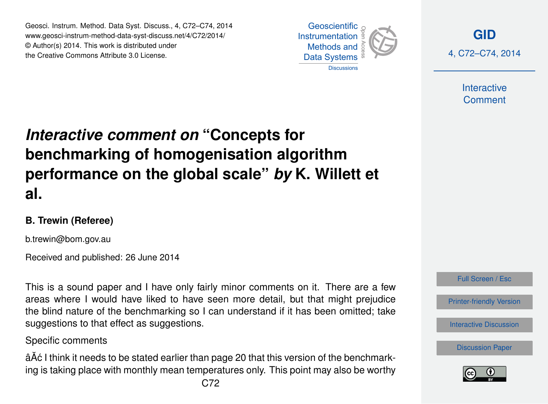Geosci. Instrum. Method. Data Syst. Discuss., 4, C72–C74, 2014 www.geosci-instrum-method-data-syst-discuss.net/4/C72/2014/ © Author(s) 2014. This work is distributed under the Creative Commons Attribute 3.0 License.





**Interactive Comment** 

# *Interactive comment on* **"Concepts for benchmarking of homogenisation algorithm performance on the global scale"** *by* **K. Willett et al.**

## **B. Trewin (Referee)**

b.trewin@bom.gov.au

Received and published: 26 June 2014

This is a sound paper and I have only fairly minor comments on it. There are a few areas where I would have liked to have seen more detail, but that might prejudice the blind nature of the benchmarking so I can understand if it has been omitted; take suggestions to that effect as suggestions.

### Specific comments

âÅ¢ I think it needs to be stated earlier than page 20 that this version of the benchmarking is taking place with monthly mean temperatures only. This point may also be worthy



[Discussion Paper](http://www.geosci-instrum-method-data-syst-discuss.net/4/235/2014/gid-4-235-2014.pdf)

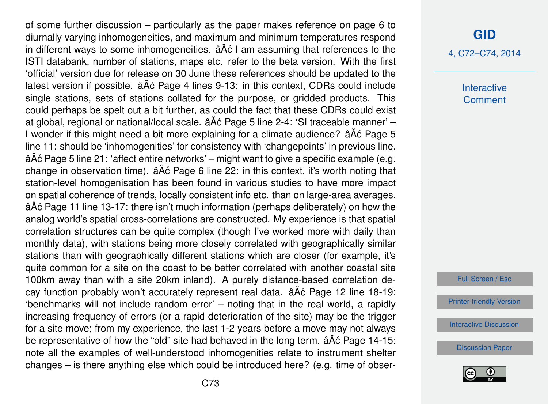of some further discussion – particularly as the paper makes reference on page 6 to diurnally varying inhomogeneities, and maximum and minimum temperatures respond in different ways to some inhomogeneities.  $\hat{a} \hat{A} \hat{c}$  I am assuming that references to the ISTI databank, number of stations, maps etc. refer to the beta version. With the first 'official' version due for release on 30 June these references should be updated to the latest version if possible.  $\hat{a} \check{A} \hat{c}$  Page 4 lines 9-13: in this context, CDRs could include single stations, sets of stations collated for the purpose, or gridded products. This could perhaps be spelt out a bit further, as could the fact that these CDRs could exist at global, regional or national/local scale.  $\tilde{a}$ A $\tilde{c}$  Page 5 line 2-4: 'SI traceable manner' – I wonder if this might need a bit more explaining for a climate audience?  $\hat{a}$  A $\hat{c}$  Page 5 line 11: should be 'inhomogenities' for consistency with 'changepoints' in previous line. âĂć Page 5 line 21: 'affect entire networks' – might want to give a specific example (e.g. change in observation time).  $\hat{a}$   $\hat{A}$  c Page 6 line 22: in this context, it's worth noting that station-level homogenisation has been found in various studies to have more impact on spatial coherence of trends, locally consistent info etc. than on large-area averages. âÁc Page 11 line 13-17: there isn't much information (perhaps deliberately) on how the analog world's spatial cross-correlations are constructed. My experience is that spatial correlation structures can be quite complex (though I've worked more with daily than monthly data), with stations being more closely correlated with geographically similar stations than with geographically different stations which are closer (for example, it's quite common for a site on the coast to be better correlated with another coastal site 100km away than with a site 20km inland). A purely distance-based correlation decay function probably won't accurately represent real data.  $\tilde{a}$  A $\tilde{c}$  Page 12 line 18-19: 'benchmarks will not include random error' – noting that in the real world, a rapidly increasing frequency of errors (or a rapid deterioration of the site) may be the trigger for a site move; from my experience, the last 1-2 years before a move may not always be representative of how the "old" site had behaved in the long term.  $\hat{a}A\hat{c}$  Page 14-15: note all the examples of well-understood inhomogenities relate to instrument shelter changes – is there anything else which could be introduced here? (e.g. time of obser-

#### **[GID](http://www.geosci-instrum-method-data-syst-discuss.net)**

4, C72–C74, 2014

**Interactive Comment** 

Full Screen / Esc

[Printer-friendly Version](http://www.geosci-instrum-method-data-syst-discuss.net/4/C72/2014/gid-4-C72-2014-print.pdf)

[Interactive Discussion](http://www.geosci-instrum-method-data-syst-discuss.net/4/235/2014/gid-4-235-2014-discussion.html)

[Discussion Paper](http://www.geosci-instrum-method-data-syst-discuss.net/4/235/2014/gid-4-235-2014.pdf)